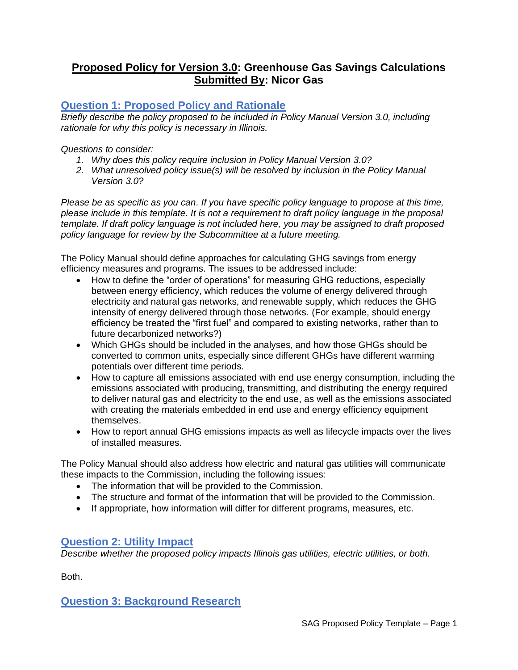# **Proposed Policy for Version 3.0: Greenhouse Gas Savings Calculations Submitted By: Nicor Gas**

# **Question 1: Proposed Policy and Rationale**

*Briefly describe the policy proposed to be included in Policy Manual Version 3.0, including rationale for why this policy is necessary in Illinois.* 

*Questions to consider:* 

- *1. Why does this policy require inclusion in Policy Manual Version 3.0?*
- *2. What unresolved policy issue(s) will be resolved by inclusion in the Policy Manual Version 3.0?*

*Please be as specific as you can. If you have specific policy language to propose at this time, please include in this template. It is not a requirement to draft policy language in the proposal template. If draft policy language is not included here, you may be assigned to draft proposed policy language for review by the Subcommittee at a future meeting.*

The Policy Manual should define approaches for calculating GHG savings from energy efficiency measures and programs. The issues to be addressed include:

- How to define the "order of operations" for measuring GHG reductions, especially between energy efficiency, which reduces the volume of energy delivered through electricity and natural gas networks, and renewable supply, which reduces the GHG intensity of energy delivered through those networks. (For example, should energy efficiency be treated the "first fuel" and compared to existing networks, rather than to future decarbonized networks?)
- Which GHGs should be included in the analyses, and how those GHGs should be converted to common units, especially since different GHGs have different warming potentials over different time periods.
- How to capture all emissions associated with end use energy consumption, including the emissions associated with producing, transmitting, and distributing the energy required to deliver natural gas and electricity to the end use, as well as the emissions associated with creating the materials embedded in end use and energy efficiency equipment themselves.
- How to report annual GHG emissions impacts as well as lifecycle impacts over the lives of installed measures.

The Policy Manual should also address how electric and natural gas utilities will communicate these impacts to the Commission, including the following issues:

- The information that will be provided to the Commission.
- The structure and format of the information that will be provided to the Commission.
- If appropriate, how information will differ for different programs, measures, etc.

## **Question 2: Utility Impact**

*Describe whether the proposed policy impacts Illinois gas utilities, electric utilities, or both.* 

Both.

**Question 3: Background Research**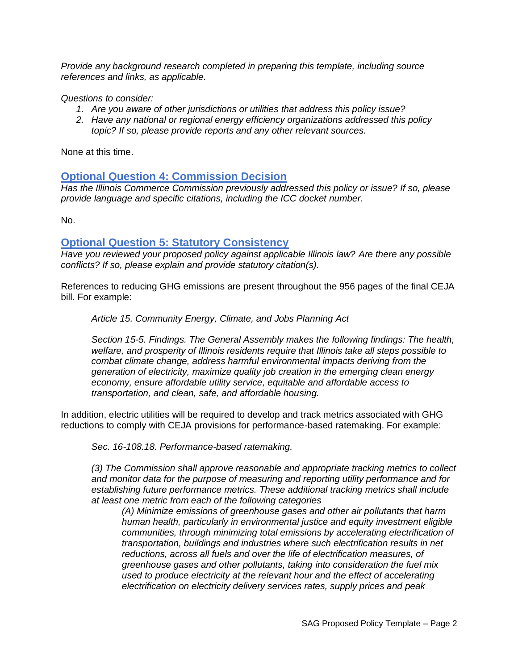*Provide any background research completed in preparing this template, including source references and links, as applicable.* 

*Questions to consider:*

- *1. Are you aware of other jurisdictions or utilities that address this policy issue?*
- *2. Have any national or regional energy efficiency organizations addressed this policy topic? If so, please provide reports and any other relevant sources.*

None at this time.

## **Optional Question 4: Commission Decision**

*Has the Illinois Commerce Commission previously addressed this policy or issue? If so, please provide language and specific citations, including the ICC docket number.*

No.

#### **Optional Question 5: Statutory Consistency**

*Have you reviewed your proposed policy against applicable Illinois law? Are there any possible conflicts? If so, please explain and provide statutory citation(s).*

References to reducing GHG emissions are present throughout the 956 pages of the final CEJA bill. For example:

*Article 15. Community Energy, Climate, and Jobs Planning Act*

*Section 15-5. Findings. The General Assembly makes the following findings: The health, welfare, and prosperity of Illinois residents require that Illinois take all steps possible to combat climate change, address harmful environmental impacts deriving from the generation of electricity, maximize quality job creation in the emerging clean energy economy, ensure affordable utility service, equitable and affordable access to transportation, and clean, safe, and affordable housing.*

In addition, electric utilities will be required to develop and track metrics associated with GHG reductions to comply with CEJA provisions for performance-based ratemaking. For example:

*Sec. 16-108.18. Performance-based ratemaking.*

*(3) The Commission shall approve reasonable and appropriate tracking metrics to collect and monitor data for the purpose of measuring and reporting utility performance and for establishing future performance metrics. These additional tracking metrics shall include at least one metric from each of the following categories* 

*(A) Minimize emissions of greenhouse gases and other air pollutants that harm human health, particularly in environmental justice and equity investment eligible communities, through minimizing total emissions by accelerating electrification of transportation, buildings and industries where such electrification results in net reductions, across all fuels and over the life of electrification measures, of greenhouse gases and other pollutants, taking into consideration the fuel mix used to produce electricity at the relevant hour and the effect of accelerating electrification on electricity delivery services rates, supply prices and peak*